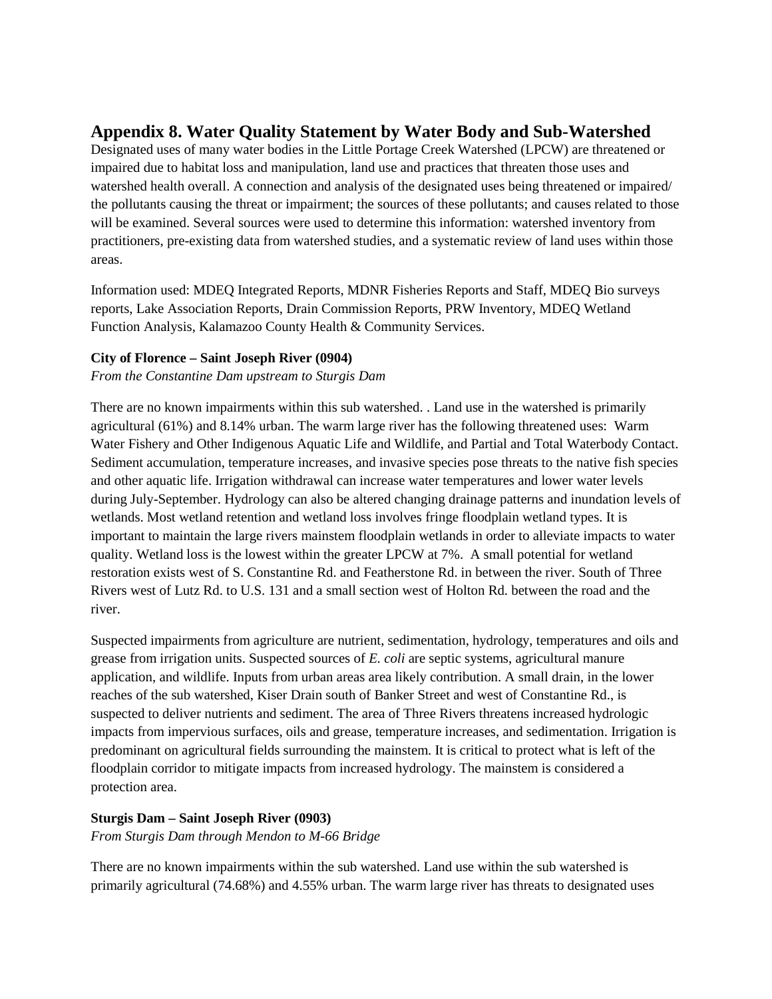# **Appendix 8. Water Quality Statement by Water Body and Sub-Watershed**

Designated uses of many water bodies in the Little Portage Creek Watershed (LPCW) are threatened or impaired due to habitat loss and manipulation, land use and practices that threaten those uses and watershed health overall. A connection and analysis of the designated uses being threatened or impaired/ the pollutants causing the threat or impairment; the sources of these pollutants; and causes related to those will be examined. Several sources were used to determine this information: watershed inventory from practitioners, pre-existing data from watershed studies, and a systematic review of land uses within those areas.

Information used: MDEQ Integrated Reports, MDNR Fisheries Reports and Staff, MDEQ Bio surveys reports, Lake Association Reports, Drain Commission Reports, PRW Inventory, MDEQ Wetland Function Analysis, Kalamazoo County Health & Community Services.

### **City of Florence – Saint Joseph River (0904)**

*From the Constantine Dam upstream to Sturgis Dam*

There are no known impairments within this sub watershed. . Land use in the watershed is primarily agricultural (61%) and 8.14% urban. The warm large river has the following threatened uses: Warm Water Fishery and Other Indigenous Aquatic Life and Wildlife, and Partial and Total Waterbody Contact. Sediment accumulation, temperature increases, and invasive species pose threats to the native fish species and other aquatic life. Irrigation withdrawal can increase water temperatures and lower water levels during July-September. Hydrology can also be altered changing drainage patterns and inundation levels of wetlands. Most wetland retention and wetland loss involves fringe floodplain wetland types. It is important to maintain the large rivers mainstem floodplain wetlands in order to alleviate impacts to water quality. Wetland loss is the lowest within the greater LPCW at 7%. A small potential for wetland restoration exists west of S. Constantine Rd. and Featherstone Rd. in between the river. South of Three Rivers west of Lutz Rd. to U.S. 131 and a small section west of Holton Rd. between the road and the river.

Suspected impairments from agriculture are nutrient, sedimentation, hydrology, temperatures and oils and grease from irrigation units. Suspected sources of *E. coli* are septic systems, agricultural manure application, and wildlife. Inputs from urban areas area likely contribution. A small drain, in the lower reaches of the sub watershed, Kiser Drain south of Banker Street and west of Constantine Rd., is suspected to deliver nutrients and sediment. The area of Three Rivers threatens increased hydrologic impacts from impervious surfaces, oils and grease, temperature increases, and sedimentation. Irrigation is predominant on agricultural fields surrounding the mainstem. It is critical to protect what is left of the floodplain corridor to mitigate impacts from increased hydrology. The mainstem is considered a protection area.

## **Sturgis Dam – Saint Joseph River (0903)**

*From Sturgis Dam through Mendon to M-66 Bridge*

There are no known impairments within the sub watershed. Land use within the sub watershed is primarily agricultural (74.68%) and 4.55% urban. The warm large river has threats to designated uses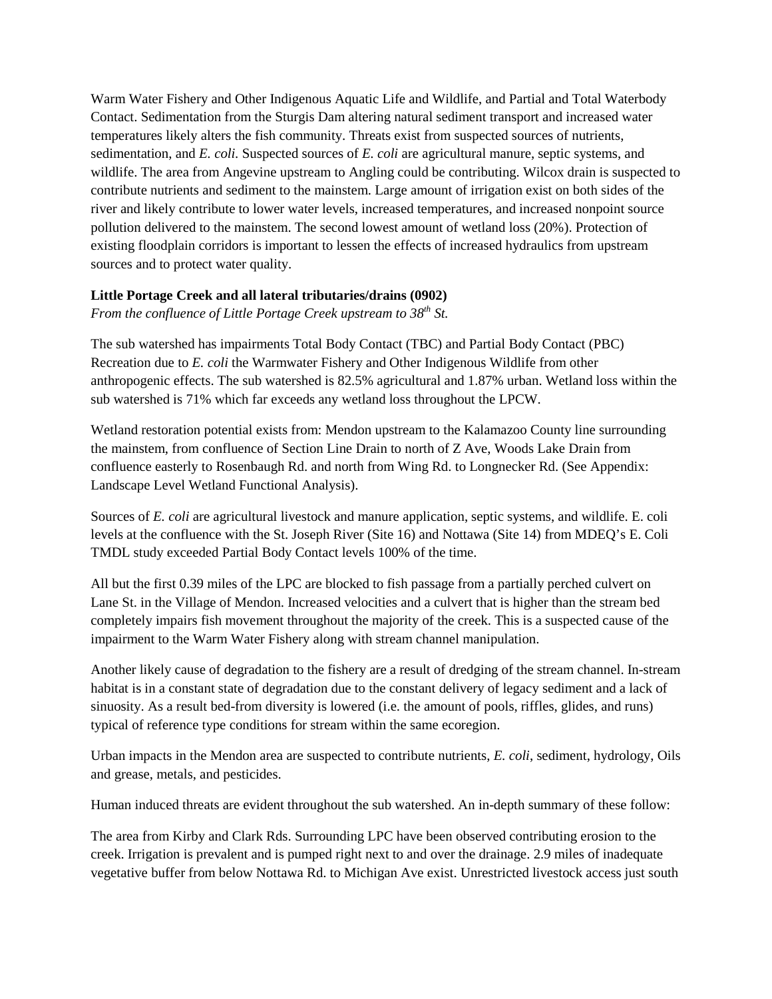Warm Water Fishery and Other Indigenous Aquatic Life and Wildlife, and Partial and Total Waterbody Contact. Sedimentation from the Sturgis Dam altering natural sediment transport and increased water temperatures likely alters the fish community. Threats exist from suspected sources of nutrients, sedimentation, and *E. coli.* Suspected sources of *E. coli* are agricultural manure, septic systems, and wildlife. The area from Angevine upstream to Angling could be contributing. Wilcox drain is suspected to contribute nutrients and sediment to the mainstem. Large amount of irrigation exist on both sides of the river and likely contribute to lower water levels, increased temperatures, and increased nonpoint source pollution delivered to the mainstem. The second lowest amount of wetland loss (20%). Protection of existing floodplain corridors is important to lessen the effects of increased hydraulics from upstream sources and to protect water quality.

## **Little Portage Creek and all lateral tributaries/drains (0902)**

*From the confluence of Little Portage Creek upstream to 38th St.* 

The sub watershed has impairments Total Body Contact (TBC) and Partial Body Contact (PBC) Recreation due to *E. coli* the Warmwater Fishery and Other Indigenous Wildlife from other anthropogenic effects. The sub watershed is 82.5% agricultural and 1.87% urban. Wetland loss within the sub watershed is 71% which far exceeds any wetland loss throughout the LPCW.

Wetland restoration potential exists from: Mendon upstream to the Kalamazoo County line surrounding the mainstem, from confluence of Section Line Drain to north of Z Ave, Woods Lake Drain from confluence easterly to Rosenbaugh Rd. and north from Wing Rd. to Longnecker Rd. (See Appendix: Landscape Level Wetland Functional Analysis).

Sources of *E. coli* are agricultural livestock and manure application, septic systems, and wildlife. E. coli levels at the confluence with the St. Joseph River (Site 16) and Nottawa (Site 14) from MDEQ's E. Coli TMDL study exceeded Partial Body Contact levels 100% of the time.

All but the first 0.39 miles of the LPC are blocked to fish passage from a partially perched culvert on Lane St. in the Village of Mendon. Increased velocities and a culvert that is higher than the stream bed completely impairs fish movement throughout the majority of the creek. This is a suspected cause of the impairment to the Warm Water Fishery along with stream channel manipulation.

Another likely cause of degradation to the fishery are a result of dredging of the stream channel. In-stream habitat is in a constant state of degradation due to the constant delivery of legacy sediment and a lack of sinuosity. As a result bed-from diversity is lowered (i.e. the amount of pools, riffles, glides, and runs) typical of reference type conditions for stream within the same ecoregion.

Urban impacts in the Mendon area are suspected to contribute nutrients, *E. coli*, sediment, hydrology, Oils and grease, metals, and pesticides.

Human induced threats are evident throughout the sub watershed. An in-depth summary of these follow:

The area from Kirby and Clark Rds. Surrounding LPC have been observed contributing erosion to the creek. Irrigation is prevalent and is pumped right next to and over the drainage. 2.9 miles of inadequate vegetative buffer from below Nottawa Rd. to Michigan Ave exist. Unrestricted livestock access just south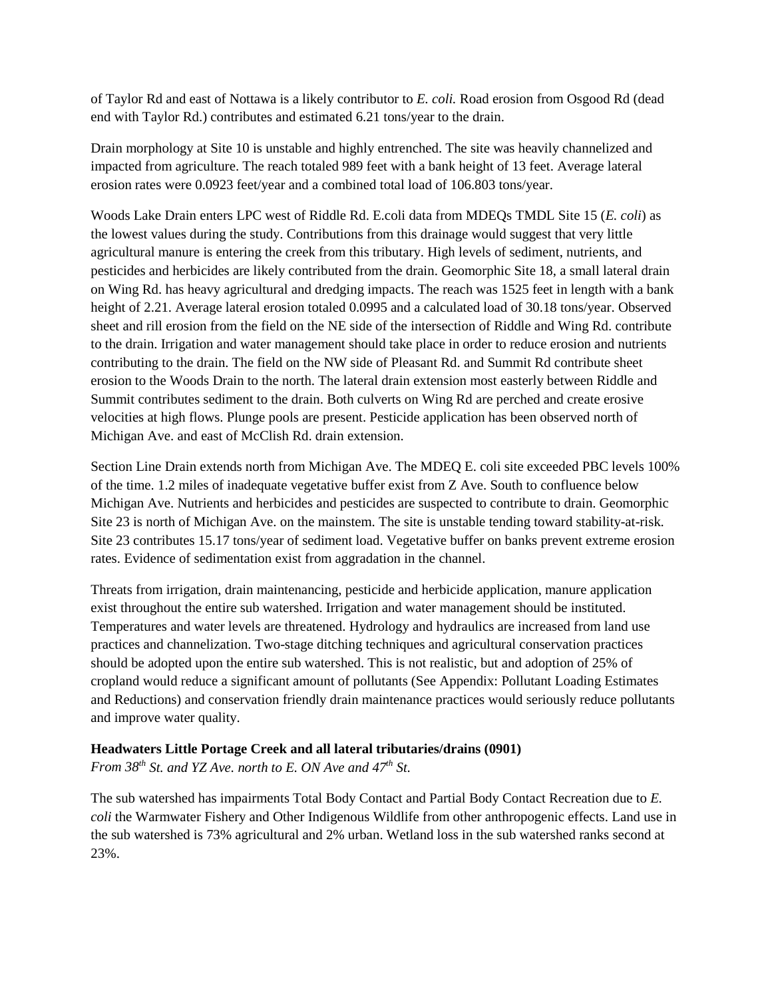of Taylor Rd and east of Nottawa is a likely contributor to *E. coli.* Road erosion from Osgood Rd (dead end with Taylor Rd.) contributes and estimated 6.21 tons/year to the drain.

Drain morphology at Site 10 is unstable and highly entrenched. The site was heavily channelized and impacted from agriculture. The reach totaled 989 feet with a bank height of 13 feet. Average lateral erosion rates were 0.0923 feet/year and a combined total load of 106.803 tons/year.

Woods Lake Drain enters LPC west of Riddle Rd. E.coli data from MDEQs TMDL Site 15 (*E. coli*) as the lowest values during the study. Contributions from this drainage would suggest that very little agricultural manure is entering the creek from this tributary. High levels of sediment, nutrients, and pesticides and herbicides are likely contributed from the drain. Geomorphic Site 18, a small lateral drain on Wing Rd. has heavy agricultural and dredging impacts. The reach was 1525 feet in length with a bank height of 2.21. Average lateral erosion totaled 0.0995 and a calculated load of 30.18 tons/year. Observed sheet and rill erosion from the field on the NE side of the intersection of Riddle and Wing Rd. contribute to the drain. Irrigation and water management should take place in order to reduce erosion and nutrients contributing to the drain. The field on the NW side of Pleasant Rd. and Summit Rd contribute sheet erosion to the Woods Drain to the north. The lateral drain extension most easterly between Riddle and Summit contributes sediment to the drain. Both culverts on Wing Rd are perched and create erosive velocities at high flows. Plunge pools are present. Pesticide application has been observed north of Michigan Ave. and east of McClish Rd. drain extension.

Section Line Drain extends north from Michigan Ave. The MDEQ E. coli site exceeded PBC levels 100% of the time. 1.2 miles of inadequate vegetative buffer exist from Z Ave. South to confluence below Michigan Ave. Nutrients and herbicides and pesticides are suspected to contribute to drain. Geomorphic Site 23 is north of Michigan Ave. on the mainstem. The site is unstable tending toward stability-at-risk. Site 23 contributes 15.17 tons/year of sediment load. Vegetative buffer on banks prevent extreme erosion rates. Evidence of sedimentation exist from aggradation in the channel.

Threats from irrigation, drain maintenancing, pesticide and herbicide application, manure application exist throughout the entire sub watershed. Irrigation and water management should be instituted. Temperatures and water levels are threatened. Hydrology and hydraulics are increased from land use practices and channelization. Two-stage ditching techniques and agricultural conservation practices should be adopted upon the entire sub watershed. This is not realistic, but and adoption of 25% of cropland would reduce a significant amount of pollutants (See Appendix: Pollutant Loading Estimates and Reductions) and conservation friendly drain maintenance practices would seriously reduce pollutants and improve water quality.

## **Headwaters Little Portage Creek and all lateral tributaries/drains (0901)**

*From 38th St. and YZ Ave. north to E. ON Ave and 47th St.* 

The sub watershed has impairments Total Body Contact and Partial Body Contact Recreation due to *E. coli* the Warmwater Fishery and Other Indigenous Wildlife from other anthropogenic effects. Land use in the sub watershed is 73% agricultural and 2% urban. Wetland loss in the sub watershed ranks second at 23%.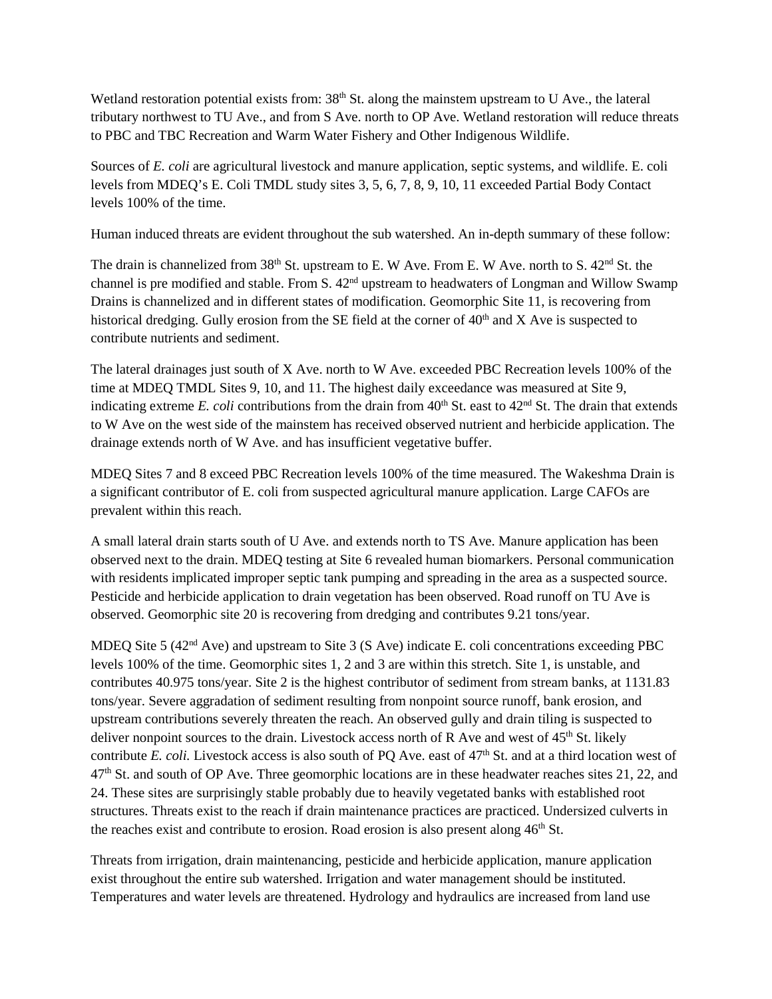Wetland restoration potential exists from: 38<sup>th</sup> St. along the mainstem upstream to U Ave., the lateral tributary northwest to TU Ave., and from S Ave. north to OP Ave. Wetland restoration will reduce threats to PBC and TBC Recreation and Warm Water Fishery and Other Indigenous Wildlife.

Sources of *E. coli* are agricultural livestock and manure application, septic systems, and wildlife. E. coli levels from MDEQ's E. Coli TMDL study sites 3, 5, 6, 7, 8, 9, 10, 11 exceeded Partial Body Contact levels 100% of the time.

Human induced threats are evident throughout the sub watershed. An in-depth summary of these follow:

The drain is channelized from 38<sup>th</sup> St. upstream to E. W Ave. From E. W Ave. north to S. 42<sup>nd</sup> St. the channel is pre modified and stable. From S.  $42<sup>nd</sup>$  upstream to headwaters of Longman and Willow Swamp Drains is channelized and in different states of modification. Geomorphic Site 11, is recovering from historical dredging. Gully erosion from the SE field at the corner of  $40<sup>th</sup>$  and X Ave is suspected to contribute nutrients and sediment.

The lateral drainages just south of X Ave. north to W Ave. exceeded PBC Recreation levels 100% of the time at MDEQ TMDL Sites 9, 10, and 11. The highest daily exceedance was measured at Site 9, indicating extreme *E. coli* contributions from the drain from  $40<sup>th</sup>$  St. east to  $42<sup>nd</sup>$  St. The drain that extends to W Ave on the west side of the mainstem has received observed nutrient and herbicide application. The drainage extends north of W Ave. and has insufficient vegetative buffer.

MDEQ Sites 7 and 8 exceed PBC Recreation levels 100% of the time measured. The Wakeshma Drain is a significant contributor of E. coli from suspected agricultural manure application. Large CAFOs are prevalent within this reach.

A small lateral drain starts south of U Ave. and extends north to TS Ave. Manure application has been observed next to the drain. MDEQ testing at Site 6 revealed human biomarkers. Personal communication with residents implicated improper septic tank pumping and spreading in the area as a suspected source. Pesticide and herbicide application to drain vegetation has been observed. Road runoff on TU Ave is observed. Geomorphic site 20 is recovering from dredging and contributes 9.21 tons/year.

MDEQ Site 5 (42<sup>nd</sup> Ave) and upstream to Site 3 (S Ave) indicate E. coli concentrations exceeding PBC levels 100% of the time. Geomorphic sites 1, 2 and 3 are within this stretch. Site 1, is unstable, and contributes 40.975 tons/year. Site 2 is the highest contributor of sediment from stream banks, at 1131.83 tons/year. Severe aggradation of sediment resulting from nonpoint source runoff, bank erosion, and upstream contributions severely threaten the reach. An observed gully and drain tiling is suspected to deliver nonpoint sources to the drain. Livestock access north of R Ave and west of  $45<sup>th</sup>$  St. likely contribute *E. coli.* Livestock access is also south of PQ Ave. east of 47<sup>th</sup> St. and at a third location west of 47th St. and south of OP Ave. Three geomorphic locations are in these headwater reaches sites 21, 22, and 24. These sites are surprisingly stable probably due to heavily vegetated banks with established root structures. Threats exist to the reach if drain maintenance practices are practiced. Undersized culverts in the reaches exist and contribute to erosion. Road erosion is also present along  $46<sup>th</sup>$  St.

Threats from irrigation, drain maintenancing, pesticide and herbicide application, manure application exist throughout the entire sub watershed. Irrigation and water management should be instituted. Temperatures and water levels are threatened. Hydrology and hydraulics are increased from land use